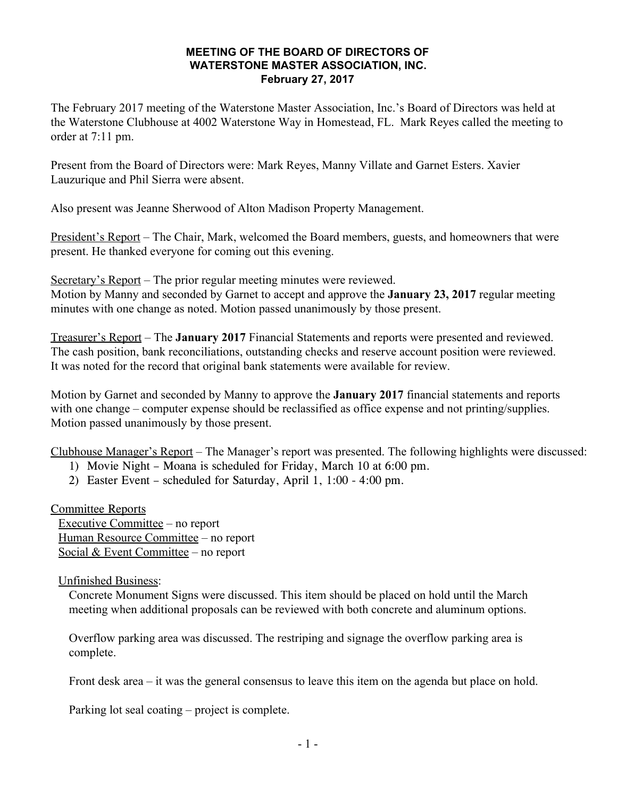## **MEETING OF THE BOARD OF DIRECTORS OF WATERSTONE MASTER ASSOCIATION, INC. February 27, 2017**

The February 2017 meeting of the Waterstone Master Association, Inc.'s Board of Directors was held at the Waterstone Clubhouse at 4002 Waterstone Way in Homestead, FL. Mark Reyes called the meeting to order at 7:11 pm.

Present from the Board of Directors were: Mark Reyes, Manny Villate and Garnet Esters. Xavier Lauzurique and Phil Sierra were absent.

Also present was Jeanne Sherwood of Alton Madison Property Management.

President's Report – The Chair, Mark, welcomed the Board members, guests, and homeowners that were present. He thanked everyone for coming out this evening.

Secretary's Report – The prior regular meeting minutes were reviewed.

Motion by Manny and seconded by Garnet to accept and approve the **January 23, 2017** regular meeting minutes with one change as noted. Motion passed unanimously by those present.

Treasurer's Report – The **January 2017** Financial Statements and reports were presented and reviewed. The cash position, bank reconciliations, outstanding checks and reserve account position were reviewed. It was noted for the record that original bank statements were available for review.

Motion by Garnet and seconded by Manny to approve the **January 2017** financial statements and reports with one change – computer expense should be reclassified as office expense and not printing/supplies. Motion passed unanimously by those present.

Clubhouse Manager's Report – The Manager's report was presented. The following highlights were discussed:

1) Movie Night – Moana is scheduled for Friday, March 10 at 6:00 pm.

2) Easter Event – scheduled for Saturday, April 1, 1:00 - 4:00 pm.

Committee Reports Executive Committee – no report Human Resource Committee – no report Social & Event Committee - no report

Unfinished Business:

Concrete Monument Signs were discussed. This item should be placed on hold until the March meeting when additional proposals can be reviewed with both concrete and aluminum options.

Overflow parking area was discussed. The restriping and signage the overflow parking area is complete.

Front desk area – it was the general consensus to leave this item on the agenda but place on hold.

Parking lot seal coating – project is complete.